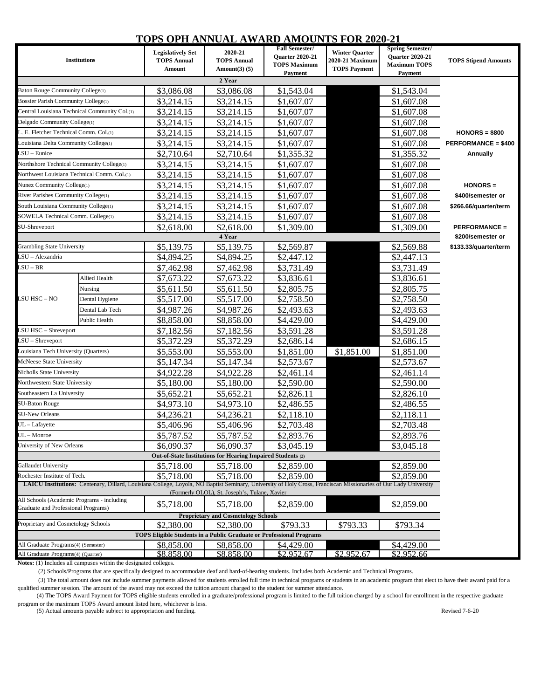## **TOPS OPH ANNUAL AWARD AMOUNTS FOR 2020-21**

| <b>Institutions</b>                                                  |                                                                                                                                                                  | <b>Legislatively Set</b> | 2020-21                                                     | <b>Fall Semester/</b>                         | <b>Winter Quarter</b> | <b>Spring Semester/</b>                       |                             |  |  |  |
|----------------------------------------------------------------------|------------------------------------------------------------------------------------------------------------------------------------------------------------------|--------------------------|-------------------------------------------------------------|-----------------------------------------------|-----------------------|-----------------------------------------------|-----------------------------|--|--|--|
|                                                                      |                                                                                                                                                                  | <b>TOPS Annual</b>       | <b>TOPS Annual</b>                                          | <b>Ouarter 2020-21</b><br><b>TOPS Maximum</b> | 2020-21 Maximum       | <b>Quarter 2020-21</b><br><b>Maximum TOPS</b> | <b>TOPS Stipend Amounts</b> |  |  |  |
|                                                                      |                                                                                                                                                                  | Amount                   | Amount $(3)$ $(5)$                                          | <b>Payment</b>                                | <b>TOPS Payment</b>   | <b>Payment</b>                                |                             |  |  |  |
| 2 Year                                                               |                                                                                                                                                                  |                          |                                                             |                                               |                       |                                               |                             |  |  |  |
| Baton Rouge Community College(1)                                     |                                                                                                                                                                  | \$3,086.08               | \$3,086.08                                                  | \$1,543.04                                    |                       | \$1,543.04                                    |                             |  |  |  |
| Bossier Parish Community College(1)                                  |                                                                                                                                                                  | \$3,214.15               | \$3,214.15                                                  | \$1,607.07                                    |                       | \$1,607.08                                    |                             |  |  |  |
|                                                                      | Central Louisiana Technical Community Col.(1)                                                                                                                    | \$3,214.15               | \$3,214.15                                                  | \$1,607.07                                    |                       | \$1,607.08                                    |                             |  |  |  |
| Delgado Community College(1)                                         |                                                                                                                                                                  | \$3,214.15               | \$3,214.15                                                  | \$1,607.07                                    |                       | \$1,607.08                                    |                             |  |  |  |
| L. E. Fletcher Technical Comm. Col.(1)                               |                                                                                                                                                                  | \$3,214.15               | \$3,214.15                                                  | \$1,607.07                                    |                       | \$1,607.08                                    | $HONORS = $800$             |  |  |  |
|                                                                      | Louisiana Delta Community College(1)                                                                                                                             |                          | \$3,214.15                                                  | \$1,607.07                                    |                       | \$1,607.08                                    | <b>PERFORMANCE = \$400</b>  |  |  |  |
| $SU$ – Eunice                                                        |                                                                                                                                                                  | \$2,710.64               | \$2,710.64                                                  | \$1,355.32                                    |                       | \$1,355.32                                    | Annually                    |  |  |  |
| Northshore Technical Community College(1)                            |                                                                                                                                                                  | \$3,214.15               | \$3,214.15                                                  | \$1,607.07                                    |                       | \$1,607.08                                    |                             |  |  |  |
| Northwest Louisiana Technical Comm. Col.(1)                          |                                                                                                                                                                  | \$3,214.15               | \$3,214.15                                                  | \$1,607.07                                    |                       | \$1,607.08                                    |                             |  |  |  |
| Nunez Community College(1)                                           |                                                                                                                                                                  | \$3,214.15               | \$3,214.15                                                  | \$1,607.07                                    |                       | \$1,607.08                                    | HONORS =                    |  |  |  |
| River Parishes Community College(1)                                  |                                                                                                                                                                  | \$3,214.15               | \$3,214.15                                                  | \$1,607.07                                    |                       | \$1,607.08                                    | \$400/semester or           |  |  |  |
| South Louisiana Community College(1)                                 |                                                                                                                                                                  | \$3,214.15               | \$3,214.15                                                  | \$1,607.07                                    |                       | \$1,607.08                                    | \$266.66/quarter/term       |  |  |  |
| SOWELA Technical Comm. College(1)                                    |                                                                                                                                                                  | \$3,214.15               | \$3,214.15                                                  | \$1,607.07                                    |                       | \$1,607.08                                    |                             |  |  |  |
| SU-Shreveport                                                        |                                                                                                                                                                  | \$2,618.00               | \$2,618.00                                                  | \$1,309.00                                    |                       | \$1,309.00                                    | <b>PERFORMANCE =</b>        |  |  |  |
|                                                                      |                                                                                                                                                                  |                          | 4 Year                                                      |                                               |                       |                                               | \$200/semester or           |  |  |  |
| <b>Grambling State University</b>                                    |                                                                                                                                                                  | \$5,139.75               | \$5,139.75                                                  | \$2,569.87                                    |                       | \$2,569.88                                    | \$133.33/quarter/term       |  |  |  |
| LSU - Alexandria                                                     |                                                                                                                                                                  | \$4,894.25               | \$4,894.25                                                  | \$2,447.12                                    |                       | \$2,447.13                                    |                             |  |  |  |
| LSU – BR                                                             |                                                                                                                                                                  | \$7,462.98               | \$7,462.98                                                  | \$3,731.49                                    |                       | \$3,731.49                                    |                             |  |  |  |
|                                                                      | Allied Health                                                                                                                                                    | \$7,673.22               | \$7,673.22                                                  | \$3,836.61                                    |                       | \$3,836.61                                    |                             |  |  |  |
| LSU HSC – NO                                                         | Nursing                                                                                                                                                          | \$5,611.50               | \$5,611.50                                                  | \$2,805.75                                    |                       | \$2,805.75                                    |                             |  |  |  |
|                                                                      | Dental Hygiene                                                                                                                                                   | \$5,517.00               | \$5,517.00                                                  | \$2,758.50                                    |                       | \$2,758.50                                    |                             |  |  |  |
|                                                                      | Dental Lab Tech                                                                                                                                                  | \$4,987.26               | \$4,987.26                                                  | \$2,493.63                                    |                       | \$2,493.63                                    |                             |  |  |  |
|                                                                      | Public Health                                                                                                                                                    | \$8,858.00               | \$8,858.00                                                  | \$4,429.00                                    |                       | \$4,429.00                                    |                             |  |  |  |
| LSU HSC - Shreveport                                                 |                                                                                                                                                                  | \$7,182.56               | \$7,182.56                                                  | \$3,591.28                                    |                       | \$3,591.28                                    |                             |  |  |  |
| $LSU - Shreveport$                                                   |                                                                                                                                                                  | \$5,372.29               | \$5,372.29                                                  | \$2,686.14                                    |                       | \$2,686.15                                    |                             |  |  |  |
| Louisiana Tech University (Quarters)                                 |                                                                                                                                                                  | \$5,553.00               | \$5,553.00                                                  | \$1,851.00                                    | \$1,851.00            | \$1,851.00                                    |                             |  |  |  |
| McNeese State University                                             |                                                                                                                                                                  | \$5,147.34               | \$5,147.34                                                  | \$2,573.67                                    |                       | \$2,573.67                                    |                             |  |  |  |
| Nicholls State University                                            |                                                                                                                                                                  | \$4,922.28               | \$4,922.28                                                  | \$2,461.14                                    |                       | \$2,461.14                                    |                             |  |  |  |
| Northwestern State University                                        |                                                                                                                                                                  | \$5,180.00               | \$5,180.00                                                  | \$2,590.00                                    |                       | \$2,590.00                                    |                             |  |  |  |
| Southeastern La University                                           |                                                                                                                                                                  | \$5,652.21               | \$5,652.21                                                  | \$2,826.11                                    |                       | \$2,826.10                                    |                             |  |  |  |
| <b>SU-Baton Rouge</b>                                                |                                                                                                                                                                  | \$4,973.10               | \$4,973.10                                                  | \$2,486.55                                    |                       | \$2,486.55                                    |                             |  |  |  |
| <b>SU-New Orleans</b>                                                |                                                                                                                                                                  | \$4,236.21               | \$4,236.21                                                  | \$2,118.10                                    |                       | \$2,118.11                                    |                             |  |  |  |
| UL – Lafayette                                                       |                                                                                                                                                                  | \$5,406.96               | \$5,406.96                                                  | \$2,703.48                                    |                       | \$2,703.48                                    |                             |  |  |  |
| $UL - Monroe$                                                        |                                                                                                                                                                  | \$5,787.52               | \$5,787.52                                                  | \$2,893.76                                    |                       | \$2,893.76                                    |                             |  |  |  |
| University of New Orleans                                            |                                                                                                                                                                  | \$6,090.37               | \$6,090.37                                                  | \$3,045.19                                    |                       | \$3,045.18                                    |                             |  |  |  |
|                                                                      |                                                                                                                                                                  |                          | Out-of-State Institutions for Hearing Impaired Students (2) |                                               |                       |                                               |                             |  |  |  |
| <b>Gallaudet University</b>                                          |                                                                                                                                                                  | \$5,718.00               | \$5,718.00                                                  | \$2,859.00                                    |                       | \$2,859.00                                    |                             |  |  |  |
| Rochester Institute of Tech.                                         |                                                                                                                                                                  | \$5,718.00               | \$5,718.00                                                  | \$2,859.00                                    |                       | \$2,859.00                                    |                             |  |  |  |
|                                                                      | LAICU Institutions: Centenary, Dillard, Louisiana College, Loyola, NO Baptist Seminary, University of Holy Cross, Franciscan Missionaries of Our Lady University |                          |                                                             |                                               |                       |                                               |                             |  |  |  |
| All Schools (Academic Programs - including                           |                                                                                                                                                                  |                          | (Formerly OLOL), St. Joseph's, Tulane, Xavier               |                                               |                       |                                               |                             |  |  |  |
| <b>Graduate and Professional Programs)</b>                           |                                                                                                                                                                  | \$5,718.00               | \$5,718.00<br><b>Proprietary and Cosmetology Schools</b>    | \$2,859.00                                    |                       | \$2,859.00                                    |                             |  |  |  |
| Proprietary and Cosmetology Schools                                  |                                                                                                                                                                  | \$2,380.00               | \$2,380.00                                                  | \$793.33                                      | \$793.33              | \$793.34                                      |                             |  |  |  |
| TOPS Eligible Students in a Public Graduate or Professional Programs |                                                                                                                                                                  |                          |                                                             |                                               |                       |                                               |                             |  |  |  |
| All Graduate Programs(4) (Semester)                                  |                                                                                                                                                                  | \$8,858.00               | \$8,858.00                                                  | \$4,429.00                                    |                       | \$4,429.00                                    |                             |  |  |  |
| All Graduate Programs(4) (Quarter)                                   |                                                                                                                                                                  | \$8,858.00               | \$8,858.00                                                  | \$2,952.67                                    | \$2,952.67            | \$2,952.66                                    |                             |  |  |  |

**Notes:** (1) Includes all campuses within the designated colleges.

(2) Schools/Programs that are specifically designed to accommodate deaf and hard-of-hearing students. Includes both Academic and Technical Programs.

 (3) The total amount does not include summer payments allowed for students enrolled full time in technical programs or students in an academic program that elect to have their award paid for a qualified summer session. The amount of the award may not exceed the tuition amount charged to the student for summer attendance.

 (4) The TOPS Award Payment for TOPS eligible students enrolled in a graduate/professional program is limited to the full tuition charged by a school for enrollment in the respective graduate program or the maximum TOPS Award amount listed here, whichever is less.

(5) Actual amounts payable subject to appropriation and funding. Revised 7-6-20